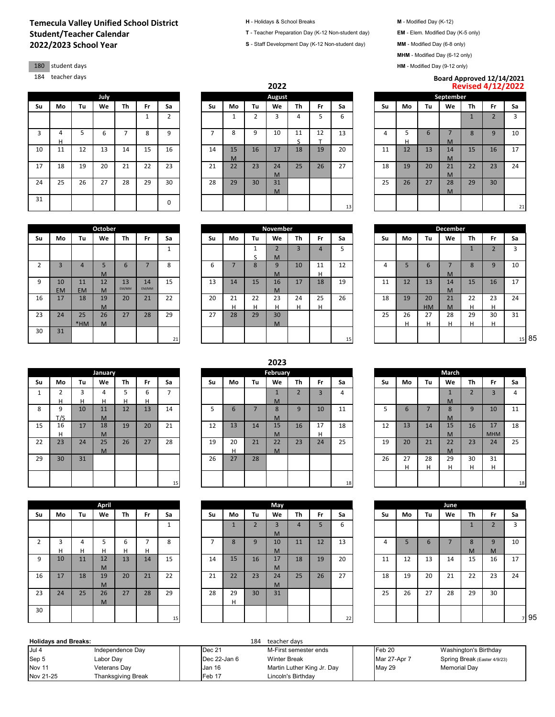## **2022/2023 School Year Temecula Valley Unified School District H** - Holidays & School Breaks **M** - Modified Day (K-12) **Student/Teacher Calendar T** - Teacher Preparation Day (K-12 Non-student day) **EM** - Elem. Modified Day (K-5 only)

180 student days

2 3 4 5

16 17 18 19

23 24 25

11 EM

\*HM

9 10  $\frac{EM}{17}$ 

30 31

|    |        |    | July |    |              |                |    |              |                | Augu    |
|----|--------|----|------|----|--------------|----------------|----|--------------|----------------|---------|
| Su | Mo     | Tu | We   | Th | Fr           | Sa             | Su | Mo           | Tu             | We      |
|    |        |    |      |    | $\mathbf{1}$ | $\overline{2}$ |    | $\mathbf{1}$ | $\overline{2}$ | 3       |
| 3  | 4<br>н | 5  | 6    | 7  | 8            | 9              | 7  | 8            | 9              | 10      |
| 10 | 11     | 12 | 13   | 14 | 15           | 16             | 14 | 15<br>M      | 16             | 17      |
| 17 | 18     | 19 | 20   | 21 | 22           | 23             | 21 | 22           | 23             | 24<br>M |
| 24 | 25     | 26 | 27   | 28 | 29           | 30             | 28 | 29           | 30             | 31<br>M |
| 31 |        |    |      |    |              | 0              |    |              |                |         |

M

12 M

M

26 **M** 

13 EM/MM 14 EM/MM

**October November November** 

|    |        |    |      |    |    |    |    |         |                 | LULL          |                                |     |    |    |    |    |           |    | <b>NEVISEU 4/14/4024</b> |    |
|----|--------|----|------|----|----|----|----|---------|-----------------|---------------|--------------------------------|-----|----|----|----|----|-----------|----|--------------------------|----|
|    |        |    | July |    |    |    |    |         |                 | <b>August</b> |                                |     |    |    |    |    | September |    |                          |    |
| Su | Mo     | Tu | We   | Th | Fr | Sa | Su | Mo      | Tu              | We            | <b>Th</b>                      | Fr. | Sa | Su | Mo | Tu | We        | Th | Fr                       | Sa |
|    |        |    |      |    |    | 2  |    |         |                 | $\sim$        | 4                              |     | 6  |    |    |    |           |    | $\sqrt{2}$               | 3  |
| 3  | 4<br>н |    | 6    |    | 8  | 9  |    | 8       | 9               | 10            | 11<br>$\overline{\phantom{a}}$ | 12  | 13 | 4  | н  | 6  | M         | 8  | 9                        | 10 |
| 10 | 11     | 12 | 13   | 14 | 15 | 16 | 14 | 15<br>M | 16              | 17            | 18                             | 19  | 20 | 11 | 12 | 13 | 14<br>M   | 15 | 16                       | 17 |
| 17 | 18     | 19 | 20   | 21 | 22 | 23 | 21 | 22      | 23              | 24<br>M       | 25                             | 26  | 27 | 18 | 19 | 20 | 21<br>M   | 22 | 23                       | 24 |
| 24 | 25     | 26 | 27   | 28 | 29 | 30 | 28 | 29      | 30 <sup>2</sup> | 31<br>M       |                                |     |    | 25 | 26 | 27 | 28<br>M   | 29 | 30                       |    |
| 31 |        |    |      |    |    | 0  |    |         |                 |               |                                |     | 13 |    |    |    |           |    |                          | 21 |

| 184 | teacher days |    |      |         |              |                               |    |         |    | 2022          |    |     |    |    |    |    | Board Approved 12/14/2021 | <b>Revised 4/12/2022</b> |    |    |
|-----|--------------|----|------|---------|--------------|-------------------------------|----|---------|----|---------------|----|-----|----|----|----|----|---------------------------|--------------------------|----|----|
|     |              |    | July |         |              |                               |    |         |    | <b>August</b> |    |     |    |    |    |    | September                 |                          |    |    |
| Su  | Mo           | Tu | We   | Th      | Fr           | Sa                            | Su | Mo      | Tu | We            | Th | Fr. | Sa | Su | Mo | Tu | We                        | Th                       | Fr | Sa |
|     |              |    |      |         |              | $\overline{\phantom{0}}$<br>∠ |    |         |    |               | 4  |     | ь  |    |    |    |                           |                          |    |    |
| 3   |              |    | b    |         | $\circ$<br>Õ | a                             |    | Õ       | q  | 10            | 11 | 12  | 13 | 4  |    | b  | M                         |                          | 9  | 10 |
| 10  | 11           | 12 | 13   | 14      | 15           | 16                            | 14 | 15<br>M | 16 | 17            | 18 | 19  | 20 | 11 | 12 | 13 | 14<br>$\mathbf{A}$        | 15                       | 16 | 17 |
| 17  | 18           | 19 | 20   | 24<br>ᅀ | 22           | 23                            | 21 | 22      | 23 | 24            | 25 | 26  | 27 | 18 | 19 | 20 | 21                        | 22<br>22                 | 23 | 24 |

|                |                |    |    |         |                 | December            |                |                |    |
|----------------|----------------|----|----|---------|-----------------|---------------------|----------------|----------------|----|
| Th             | Fr             | Sa | Su | Mo      | Tu              | We                  | Th             | Fr             | Sa |
| $\overline{3}$ | $\overline{4}$ | 5  |    |         |                 |                     | $\overline{1}$ | $\overline{2}$ | 3  |
| 10             | 11<br>н        | 12 | 4  | 5       | 6               | $\overline{7}$<br>M | 8              | 9              | 10 |
| 17             | 18             | 19 | 11 | 12      | 13              | 14<br>M             | 15             | 16             | 17 |
| 24<br>Н.       | 25<br>н        | 26 | 18 | 19      | 20<br><b>HM</b> | 21<br>M             | 22<br>н        | 23<br>н        | 24 |
|                |                |    | 25 | 26<br>н | 27<br>н         | 28<br>н             | 29<br>н        | 30<br>н        | 31 |
|                |                | 15 |    |         |                 |                     |                |                | 15 |

|              |                |    | January |    |    |    |    |    |
|--------------|----------------|----|---------|----|----|----|----|----|
| Su           | Mo             | Tu | We      | Th | Fr | Sa | Su | Mo |
| $\mathbf{1}$ | $\overline{2}$ | 3  | 4       | 5  | 6  | 7  |    |    |
|              | н              | н  | н       | н  | н  |    |    |    |
| 8            | 9              | 10 | 11      | 12 | 13 | 14 | 5  | 6  |
|              | T/S            |    | M       |    |    |    |    |    |
| 15           | 16             | 17 | 18      | 19 | 20 | 21 | 12 | 13 |
|              | н              |    | M       |    |    |    |    |    |
| 22           | 23             | 24 | 25      | 26 | 27 | 28 | 19 | 20 |
|              |                |    | M       |    |    |    |    | н  |
| 29           | 30             | 31 |         |    |    |    | 26 | 27 |
|              |                |    |         |    |    |    |    |    |
|              |                |    |         |    |    |    |    |    |
|              |                |    |         |    |    | 15 |    |    |

|    |    |    | April |    |                |                |                |    |
|----|----|----|-------|----|----------------|----------------|----------------|----|
| Su | Mo | Tu | We    | Th | Fr             | Sa             | Su             | Mo |
|    |    |    |       |    |                | $\mathbf{1}$   |                | 1  |
| 2  | 3  | 4  | 5     | 6  | $\overline{7}$ | 8              | $\overline{7}$ | 8  |
|    | н  | Н  | н     | Н  | Н              |                |                |    |
| 9  | 10 | 11 | 12    | 13 | 14             | 15             | 14             | 15 |
|    |    |    | M     |    |                |                |                |    |
| 16 | 17 | 18 | 19    | 20 | 21             | 22             | 21             | 22 |
|    |    |    | M     |    |                |                |                |    |
| 23 | 24 | 25 | 26    | 27 | 28             | 29             | 28             | 29 |
|    |    |    | M     |    |                |                |                | н  |
| 30 |    |    |       |    |                | 1 <sub>0</sub> |                |    |

## **Su Mo Tu We Th Fr Sa Su Mo Tu We Th Fr Sa Su Mo Tu We Th Fr Sa** 1 | | | 1 S 2  $\frac{M}{9}$ 6 7 8 6 7 8 9  $\frac{M}{16}$ 10 11  $\frac{H}{18}$ 15 13 14 15 16 M 20 21 22 20 21 28 22  $\overline{29}$ 23  $\frac{H}{30}$ 24 H 25 H 27 28 29 27 28 29 30 M 21 | | | | | | 15 | 15 | | | | | | 15 | 85

|                    |     |                          |                |    |    |                |    |    |    | 2023     |    |    |                 |    |    |    |       |            |                          |    |
|--------------------|-----|--------------------------|----------------|----|----|----------------|----|----|----|----------|----|----|-----------------|----|----|----|-------|------------|--------------------------|----|
|                    |     |                          | <b>January</b> |    |    |                |    |    |    | February |    |    |                 |    |    |    | March |            |                          |    |
| Su                 | Mo  | Tu                       | We             | Th | Fr | Sa             | Su | Mo | Tu | We       | Th | Fr | Sa              | Su | Mo | Tu | We    | Th         | Fr.                      | Sa |
| $\mathbf{A}$<br>л. |     | $\overline{\phantom{0}}$ | 4              |    | ь  | -              |    |    |    |          |    | 3  | 4               |    |    |    |       | $\sqrt{2}$ | $\overline{\phantom{a}}$ | 4  |
|                    | н   | н                        | н              |    | н  |                |    |    |    | M        |    |    |                 |    |    |    | M     |            |                          |    |
| 8                  | 9   | 10                       | 11             | 12 | 13 | 14             | כ  | 6  |    | 8        | 9  | 10 | 11              | כ  | 6  |    | 8     | 9          | 10                       | 11 |
|                    | T/S |                          | M              |    |    |                |    |    |    | M        |    |    |                 |    |    |    | M     |            |                          |    |
| 15                 | 16  | 17                       | 18             | 19 | 20 | 21             | 12 | 13 | 14 | 15       | 16 | 17 | 18              | 12 | 13 | 14 | 15    | 16         | 17                       | 18 |
|                    | н   |                          | M              |    |    |                |    |    |    | M        |    | н  |                 |    |    |    | M     |            | <b>MHM</b>               |    |
| 22                 | 23  | 24                       | 25             | 26 | 27 | 28             | 19 | 20 | 21 | 22       | 23 | 24 | 25              | 19 | 20 | 21 | 22    | 23         | 24                       | 25 |
|                    |     |                          | M              |    |    |                |    | н  |    | M        |    |    |                 |    |    |    | M     |            |                          |    |
| 29                 | 30  | 31                       |                |    |    |                | 26 | 27 | 28 |          |    |    |                 | 26 | 27 | 28 | 29    | 30         | 31                       |    |
|                    |     |                          |                |    |    |                |    |    |    |          |    |    |                 |    | н  |    | Н     | н          | н                        |    |
|                    |     |                          |                |    |    |                |    |    |    |          |    |    |                 |    |    |    |       |            |                          |    |
|                    |     |                          |                |    |    | 1 <sub>0</sub> |    |    |    |          |    |    | 10 <sup>1</sup> |    |    |    |       |            |                          |    |

|                |    |    | April |    |    |               |    |    |                          | May                 |    |    |    |    |    |    | June |    |     |    |
|----------------|----|----|-------|----|----|---------------|----|----|--------------------------|---------------------|----|----|----|----|----|----|------|----|-----|----|
| Su             | Mo | Tu | We    | Th | Fr | Sa            | Su | Mo | Tu                       | We                  | Th | Fr | Sa | Su | Mo | Tu | We   | Th | Fr. | Sa |
|                |    |    |       |    |    | <b>A</b><br>ᆚ |    |    | $\overline{\phantom{0}}$ | $\overline{3}$<br>M | 4  | 5  | 6  |    |    |    |      |    |     | 3  |
| $\overline{2}$ | 3  | 4  |       | h  |    | 8             |    | 8  | 9                        | 10                  | 11 | 12 | 13 | 4  |    | 6  |      | 8  | a   | 10 |
|                | н  | н  | н     |    | Н  |               |    |    |                          | M                   |    |    |    |    |    |    |      | M  | M   |    |
| 9              | 10 | 11 | 12    | 13 | 14 | 15            | 14 | 15 | 16                       | 17                  | 18 | 19 | 20 | 11 | 12 | 13 | 14   | 15 | 16  | 17 |
|                |    |    | M     |    |    |               |    |    |                          | M                   |    |    |    |    |    |    |      |    |     |    |
| 16             | 17 | 18 | 19    | 20 | 21 | 22            | 21 | 22 | 23                       | 24                  | 25 | 26 | 27 | 18 | 19 | 20 | 21   | 22 | 23  | 24 |
|                |    |    | M     |    |    |               |    |    |                          | M                   |    |    |    |    |    |    |      |    |     |    |
| 23             | 24 | 25 | 26    | 27 | 28 | 29            | 28 | 29 | 30 <sub>1</sub>          | 31                  |    |    |    | 25 | 26 | 27 | 28   | 29 | 30  |    |
|                |    |    | M     |    |    |               |    | н  |                          |                     |    |    |    |    |    |    |      |    |     |    |
| 30             |    |    |       |    |    |               |    |    |                          |                     |    |    |    |    |    |    |      |    |     |    |
|                |    |    |       |    |    | 15            |    |    |                          |                     |    |    | 22 |    |    |    |      |    |     |    |

|    |    |    |    | <b>February</b> |                |                |    |    |    |    | March        |                |            |    |
|----|----|----|----|-----------------|----------------|----------------|----|----|----|----|--------------|----------------|------------|----|
|    | Su | Mo | Tu | We              | Th             | Fr             | Sa | Su | Mo | Tu | We           | Th             | Fr         | Sa |
|    |    |    |    |                 | $\overline{2}$ | $\overline{3}$ | 4  |    |    |    | $\mathbf{1}$ | $\overline{2}$ | 3          | 4  |
|    |    |    |    | M               |                |                |    |    |    |    | M            |                |            |    |
|    | 5  | 6  | 7  | 8               | 9              | 10             | 11 | 5  | 6  |    | 8            | 9              | 10         | 11 |
|    |    |    |    | M               |                |                |    |    |    |    | M            |                |            |    |
|    | 12 | 13 | 14 | 15              | 16             | 17             | 18 | 12 | 13 | 14 | 15           | 16             | 17         | 18 |
|    |    |    |    | M               |                | н              |    |    |    |    | M            |                | <b>MHM</b> |    |
|    | 19 | 20 | 21 | 22              | 23             | 24             | 25 | 19 | 20 | 21 | 22           | 23             | 24         | 25 |
|    |    | н  |    | M               |                |                |    |    |    |    | M            |                |            |    |
|    | 26 | 27 | 28 |                 |                |                |    | 26 | 27 | 28 | 29           | 30             | 31         |    |
|    |    |    |    |                 |                |                |    |    | н  | н  | H            | н              | н          |    |
|    |    |    |    |                 |                |                |    |    |    |    |              |                |            |    |
| 15 |    |    |    |                 |                |                | 18 |    |    |    |              |                |            | 18 |

|    |              |                | May            |                |                |    |
|----|--------------|----------------|----------------|----------------|----------------|----|
| Su | Mo           | Tu             | We             | Th             | Fr             | Sa |
|    | $\mathbf{1}$ | $\overline{2}$ | $\overline{3}$ | $\overline{4}$ | $\overline{5}$ | 6  |
|    |              |                | M              |                |                |    |
| 7  | 8            | 9              | 10             | 11             | 12             | 13 |
|    |              |                | M              |                |                |    |
| 14 | 15           | 16             | 17             | 18             | 19             | 20 |
|    |              |                | M              |                |                |    |
| 21 | 22           | 23             | 24             | 25             | 26             | 27 |
|    |              |                | M              |                |                |    |
| 28 | 29           | 30             | 31             |                |                |    |
|    | н            |                |                |                |                |    |
|    |              |                |                |                |                |    |
|    |              |                |                |                |                | 22 |

| <b>Holidavs and Breaks:</b> |                           |                   | 184<br>teacher davs        |                   |                              |
|-----------------------------|---------------------------|-------------------|----------------------------|-------------------|------------------------------|
| Jul 4                       | Independence Day          | <b>Dec 21</b>     | M-First semester ends      | Feb <sub>20</sub> | Washington's Birthday        |
| Sep 5                       | Labor Day                 | Dec 22-Jan 6      | <b>Winter Break</b>        | Mar 27-Apr 7      | Spring Break (Easter 4/9/23) |
| Nov 11                      | Veterans Day              | Jan 16            | Martin Luther King Jr. Day | May 29            | <b>Memorial Dav</b>          |
| Nov 21-25                   | <b>Thanksgiving Break</b> | Feb <sub>17</sub> | Lincoln's Birthdav         |                   |                              |

**S** - Staff Development Day (K-12 Non-student day) **MM** - Modified Day (6-8 only) **MHM** - Modified Day (6-12 only)

**HM** - Modified Day (9-12 only)